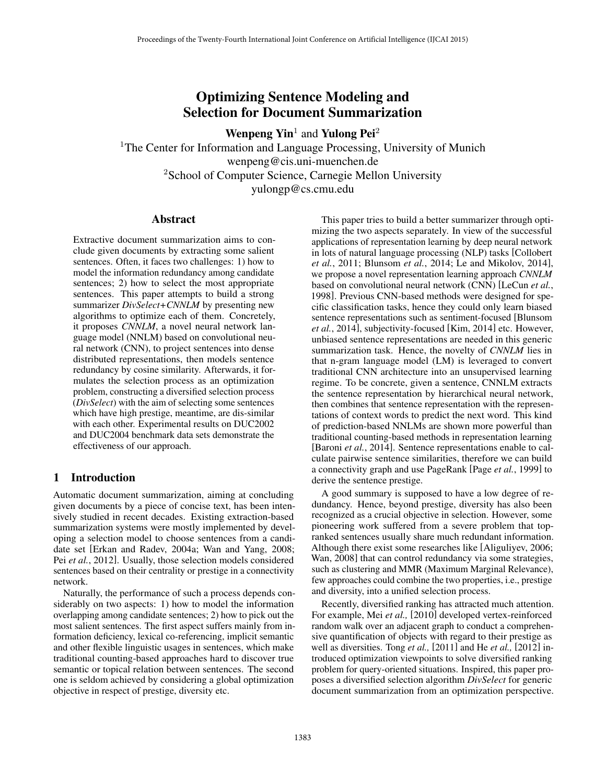# Optimizing Sentence Modeling and Selection for Document Summarization

Wenpeng  $\text{Yin}^1$  and Yulong Pei<sup>2</sup>

<sup>1</sup>The Center for Information and Language Processing, University of Munich wenpeng@cis.uni-muenchen.de <sup>2</sup>School of Computer Science, Carnegie Mellon University yulongp@cs.cmu.edu

# Abstract

Extractive document summarization aims to conclude given documents by extracting some salient sentences. Often, it faces two challenges: 1) how to model the information redundancy among candidate sentences; 2) how to select the most appropriate sentences. This paper attempts to build a strong summarizer *DivSelect+CNNLM* by presenting new algorithms to optimize each of them. Concretely, it proposes *CNNLM*, a novel neural network language model (NNLM) based on convolutional neural network (CNN), to project sentences into dense distributed representations, then models sentence redundancy by cosine similarity. Afterwards, it formulates the selection process as an optimization problem, constructing a diversified selection process (*DivSelect*) with the aim of selecting some sentences which have high prestige, meantime, are dis-similar with each other. Experimental results on DUC2002 and DUC2004 benchmark data sets demonstrate the effectiveness of our approach.

# 1 Introduction

Automatic document summarization, aiming at concluding given documents by a piece of concise text, has been intensively studied in recent decades. Existing extraction-based summarization systems were mostly implemented by developing a selection model to choose sentences from a candidate set [Erkan and Radev, 2004a; Wan and Yang, 2008; Pei *et al.*, 2012]. Usually, those selection models considered sentences based on their centrality or prestige in a connectivity network.

Naturally, the performance of such a process depends considerably on two aspects: 1) how to model the information overlapping among candidate sentences; 2) how to pick out the most salient sentences. The first aspect suffers mainly from information deficiency, lexical co-referencing, implicit semantic and other flexible linguistic usages in sentences, which make traditional counting-based approaches hard to discover true semantic or topical relation between sentences. The second one is seldom achieved by considering a global optimization objective in respect of prestige, diversity etc.

This paper tries to build a better summarizer through optimizing the two aspects separately. In view of the successful applications of representation learning by deep neural network in lots of natural language processing (NLP) tasks [Collobert *et al.*, 2011; Blunsom *et al.*, 2014; Le and Mikolov, 2014], we propose a novel representation learning approach *CNNLM* based on convolutional neural network (CNN) [LeCun *et al.*, 1998]. Previous CNN-based methods were designed for specific classification tasks, hence they could only learn biased sentence representations such as sentiment-focused [Blunsom *et al.*, 2014], subjectivity-focused [Kim, 2014] etc. However, unbiased sentence representations are needed in this generic summarization task. Hence, the novelty of *CNNLM* lies in that n-gram language model (LM) is leveraged to convert traditional CNN architecture into an unsupervised learning regime. To be concrete, given a sentence, CNNLM extracts the sentence representation by hierarchical neural network, then combines that sentence representation with the representations of context words to predict the next word. This kind of prediction-based NNLMs are shown more powerful than traditional counting-based methods in representation learning [Baroni *et al.*, 2014]. Sentence representations enable to calculate pairwise sentence similarities, therefore we can build a connectivity graph and use PageRank [Page *et al.*, 1999] to derive the sentence prestige.

A good summary is supposed to have a low degree of redundancy. Hence, beyond prestige, diversity has also been recognized as a crucial objective in selection. However, some pioneering work suffered from a severe problem that topranked sentences usually share much redundant information. Although there exist some researches like [Aliguliyev, 2006; Wan, 2008] that can control redundancy via some strategies, such as clustering and MMR (Maximum Marginal Relevance), few approaches could combine the two properties, i.e., prestige and diversity, into a unified selection process.

Recently, diversified ranking has attracted much attention. For example, Mei *et al.,* [2010] developed vertex-reinforced random walk over an adjacent graph to conduct a comprehensive quantification of objects with regard to their prestige as well as diversities. Tong *et al.,* [2011] and He *et al.,* [2012] introduced optimization viewpoints to solve diversified ranking problem for query-oriented situations. Inspired, this paper proposes a diversified selection algorithm *DivSelect* for generic document summarization from an optimization perspective.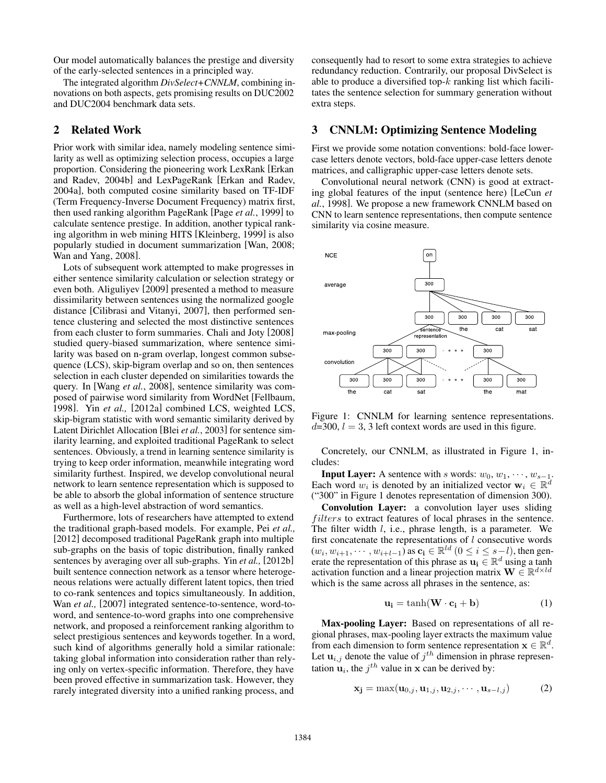Our model automatically balances the prestige and diversity of the early-selected sentences in a principled way.

The integrated algorithm *DivSelect+CNNLM*, combining innovations on both aspects, gets promising results on DUC2002 and DUC2004 benchmark data sets.

# 2 Related Work

Prior work with similar idea, namely modeling sentence similarity as well as optimizing selection process, occupies a large proportion. Considering the pioneering work LexRank [Erkan and Radev, 2004b] and LexPageRank [Erkan and Radev, 2004a], both computed cosine similarity based on TF-IDF (Term Frequency-Inverse Document Frequency) matrix first, then used ranking algorithm PageRank [Page *et al.*, 1999] to calculate sentence prestige. In addition, another typical ranking algorithm in web mining HITS [Kleinberg, 1999] is also popularly studied in document summarization [Wan, 2008; Wan and Yang, 2008].

Lots of subsequent work attempted to make progresses in either sentence similarity calculation or selection strategy or even both. Aliguliyev [2009] presented a method to measure dissimilarity between sentences using the normalized google distance [Cilibrasi and Vitanyi, 2007], then performed sentence clustering and selected the most distinctive sentences from each cluster to form summaries. Chali and Joty [2008] studied query-biased summarization, where sentence similarity was based on n-gram overlap, longest common subsequence (LCS), skip-bigram overlap and so on, then sentences selection in each cluster depended on similarities towards the query. In [Wang *et al.*, 2008], sentence similarity was composed of pairwise word similarity from WordNet [Fellbaum, 1998]. Yin *et al.,* [2012a] combined LCS, weighted LCS, skip-bigram statistic with word semantic similarity derived by Latent Dirichlet Allocation [Blei *et al.*, 2003] for sentence similarity learning, and exploited traditional PageRank to select sentences. Obviously, a trend in learning sentence similarity is trying to keep order information, meanwhile integrating word similarity furthest. Inspired, we develop convolutional neural network to learn sentence representation which is supposed to be able to absorb the global information of sentence structure as well as a high-level abstraction of word semantics.

Furthermore, lots of researchers have attempted to extend the traditional graph-based models. For example, Pei *et al.,* [2012] decomposed traditional PageRank graph into multiple sub-graphs on the basis of topic distribution, finally ranked sentences by averaging over all sub-graphs. Yin *et al.,* [2012b] built sentence connection network as a tensor where heterogeneous relations were actually different latent topics, then tried to co-rank sentences and topics simultaneously. In addition, Wan *et al.,* [2007] integrated sentence-to-sentence, word-toword, and sentence-to-word graphs into one comprehensive network, and proposed a reinforcement ranking algorithm to select prestigious sentences and keywords together. In a word, such kind of algorithms generally hold a similar rationale: taking global information into consideration rather than relying only on vertex-specific information. Therefore, they have been proved effective in summarization task. However, they rarely integrated diversity into a unified ranking process, and

consequently had to resort to some extra strategies to achieve redundancy reduction. Contrarily, our proposal DivSelect is able to produce a diversified top- $k$  ranking list which facilitates the sentence selection for summary generation without extra steps.

# 3 CNNLM: Optimizing Sentence Modeling

First we provide some notation conventions: bold-face lowercase letters denote vectors, bold-face upper-case letters denote matrices, and calligraphic upper-case letters denote sets.

Convolutional neural network (CNN) is good at extracting global features of the input (sentence here) [LeCun *et al.*, 1998]. We propose a new framework CNNLM based on CNN to learn sentence representations, then compute sentence similarity via cosine measure.



Figure 1: CNNLM for learning sentence representations.  $d=300$ ,  $l=3$ , 3 left context words are used in this figure.

Concretely, our CNNLM, as illustrated in Figure 1, includes:

**Input Layer:** A sentence with s words:  $w_0, w_1, \dots, w_{s-1}$ . Each word  $w_i$  is denoted by an initialized vector  $\mathbf{w}_i \in \mathbb{R}^d$ ("300" in Figure 1 denotes representation of dimension 300).

Convolution Layer: a convolution layer uses sliding *filters* to extract features of local phrases in the sentence. The filter width l, i.e., phrase length, is a parameter. We first concatenate the representations of  $l$  consecutive words  $(w_i, w_{i+1}, \dots, w_{i+l-1})$  as  $c_i \in \mathbb{R}^{ld}$   $(0 \le i \le s-l)$ , then generate the representation of this phrase as  $\mathbf{u_i} \in \mathbb{R}^d$  using a tanh activation function and a linear projection matrix  $\mathbf{W} \in \mathbb{R}^{d \times ld}$ which is the same across all phrases in the sentence, as:

$$
\mathbf{u_i} = \tanh(\mathbf{W} \cdot \mathbf{c_i} + \mathbf{b}) \tag{1}
$$

Max-pooling Layer: Based on representations of all regional phrases, max-pooling layer extracts the maximum value from each dimension to form sentence representation  $\mathbf{x} \in \mathbb{R}^d$ . Let  $\mathbf{u}_{i,j}$  denote the value of  $j^{th}$  dimension in phrase representation  $\mathbf{u}_i$ , the  $j^{th}$  value in x can be derived by:

$$
\mathbf{x_j} = \max(\mathbf{u}_{0,j}, \mathbf{u}_{1,j}, \mathbf{u}_{2,j}, \cdots, \mathbf{u}_{s-l,j})
$$
(2)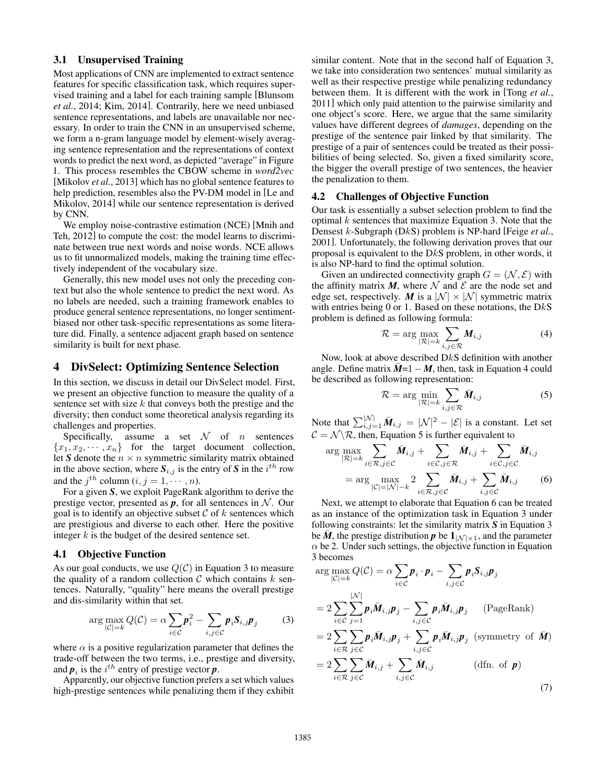# 3.1 Unsupervised Training

Most applications of CNN are implemented to extract sentence features for specific classification task, which requires supervised training and a label for each training sample [Blunsom *et al.*, 2014; Kim, 2014]. Contrarily, here we need unbiased sentence representations, and labels are unavailable nor necessary. In order to train the CNN in an unsupervised scheme, we form a n-gram language model by element-wisely averaging sentence representation and the representations of context words to predict the next word, as depicted "average" in Figure 1. This process resembles the CBOW scheme in *word2vec* [Mikolov *et al.*, 2013] which has no global sentence features to help prediction, resembles also the PV-DM model in [Le and Mikolov, 2014] while our sentence representation is derived by CNN.

We employ noise-contrastive estimation (NCE) [Mnih and Teh, 2012] to compute the cost: the model learns to discriminate between true next words and noise words. NCE allows us to fit unnormalized models, making the training time effectively independent of the vocabulary size.

Generally, this new model uses not only the preceding context but also the whole sentence to predict the next word. As no labels are needed, such a training framework enables to produce general sentence representations, no longer sentimentbiased nor other task-specific representations as some literature did. Finally, a sentence adjacent graph based on sentence similarity is built for next phase.

### 4 DivSelect: Optimizing Sentence Selection

In this section, we discuss in detail our DivSelect model. First, we present an objective function to measure the quality of a sentence set with size  $k$  that conveys both the prestige and the diversity; then conduct some theoretical analysis regarding its challenges and properties.

Specifically, assume a set  $\mathcal N$  of *n* sentences  ${x_1, x_2, \dots, x_n}$  for the target document collection, let *S* denote the  $n \times n$  symmetric similarity matrix obtained in the above section, where  $S_{i,j}$  is the entry of *S* in the  $i^{th}$  row and the  $j^{th}$  column  $(i, j = 1, \dots, n)$ .

For a given *S*, we exploit PageRank algorithm to derive the prestige vector, presented as  $p$ , for all sentences in  $N$ . Our goal is to identify an objective subset  $\mathcal C$  of  $k$  sentences which are prestigious and diverse to each other. Here the positive integer  $k$  is the budget of the desired sentence set.

### 4.1 Objective Function

As our goal conducts, we use  $Q(C)$  in Equation 3 to measure the quality of a random collection  $\mathcal C$  which contains k sentences. Naturally, "quality" here means the overall prestige and dis-similarity within that set.

$$
\arg\max_{|C|=k} Q(C) = \alpha \sum_{i \in C} \boldsymbol{p}_i^2 - \sum_{i,j \in C} \boldsymbol{p}_i \boldsymbol{S}_{i,j} \boldsymbol{p}_j \tag{3}
$$

where  $\alpha$  is a positive regularization parameter that defines the trade-off between the two terms, i.e., prestige and diversity, and  $p_i$  is the  $i^{th}$  entry of prestige vector  $p$ .

Apparently, our objective function prefers a set which values high-prestige sentences while penalizing them if they exhibit similar content. Note that in the second half of Equation 3, we take into consideration two sentences' mutual similarity as well as their respective prestige while penalizing redundancy between them. It is different with the work in [Tong *et al.*, 2011] which only paid attention to the pairwise similarity and one object's score. Here, we argue that the same similarity values have different degrees of *damages*, depending on the prestige of the sentence pair linked by that similarity. The prestige of a pair of sentences could be treated as their possibilities of being selected. So, given a fixed similarity score, the bigger the overall prestige of two sentences, the heavier the penalization to them.

# 4.2 Challenges of Objective Function

Our task is essentially a subset selection problem to find the optimal  $k$  sentences that maximize Equation 3. Note that the Densest k-Subgraph (DkS) problem is NP-hard [Feige *et al.*, 2001]. Unfortunately, the following derivation proves that our proposal is equivalent to the DkS problem, in other words, it is also NP-hard to find the optimal solution.

Given an undirected connectivity graph  $G = (\mathcal{N}, \mathcal{E})$  with the affinity matrix  $M$ , where  $\mathcal N$  and  $\mathcal E$  are the node set and edge set, respectively. *M* is a  $|\mathcal{N}| \times |\mathcal{N}|$  symmetric matrix with entries being 0 or 1. Based on these notations, the  $DkS$ problem is defined as following formula:

$$
\mathcal{R} = \arg \max_{|\mathcal{R}|=k} \sum_{i,j \in \mathcal{R}} \bm{M}_{i,j} \tag{4}
$$

Now, look at above described DkS definition with another angle. Define matrix  $\overline{M}$  =1 −  $M$ , then, task in Equation 4 could be described as following representation:

$$
\mathcal{R} = \arg \min_{|\mathcal{R}|=k} \sum_{i,j \in \mathcal{R}} \bar{\boldsymbol{M}}_{i,j} \tag{5}
$$

Note that  $\sum_{i,j=1}^{|\mathcal{N}|} \bar{M}_{i,j} = |\mathcal{N}|^2 - |\mathcal{E}|$  is a constant. Let set  $\mathcal{C} = \mathcal{N} \backslash \mathcal{R}$ , then, Equation 5 is further equivalent to

$$
\arg \max_{|\mathcal{R}|=k} \sum_{i \in \mathcal{R}, j \in \mathcal{C}} \bar{M}_{i,j} + \sum_{i \in \mathcal{C}, j \in \mathcal{R}} \bar{M}_{i,j} + \sum_{i \in \mathcal{C}, j \in \mathcal{C}} \bar{M}_{i,j}
$$

$$
= \arg \max_{|\mathcal{C}|=|\mathcal{N}|=k} 2 \sum_{i \in \mathcal{R}, j \in \mathcal{C}} \bar{M}_{i,j} + \sum_{i,j \in \mathcal{C}} \bar{M}_{i,j} \tag{6}
$$

Next, we attempt to elaborate that Equation 6 can be treated as an instance of the optimization task in Equation 3 under following constraints: let the similarity matrix *S* in Equation 3 be *M*, the prestige distribution *p* be  $\mathbf{1}_{|N| \times 1}$ , and the parameter  $\alpha$  be 2. Under such settings, the objective function in Equation 3 becomes

$$
\arg \max_{|C|=k} Q(C) = \alpha \sum_{i \in C} p_i \cdot p_i - \sum_{i,j \in C} p_i S_{i,j} p_j
$$
\n
$$
= 2 \sum_{i \in C} \sum_{j=1}^{|N|} p_i \overline{M}_{i,j} p_j - \sum_{i,j \in C} p_i \overline{M}_{i,j} p_j \quad \text{(PageRank)}
$$
\n
$$
= 2 \sum_{i \in R} \sum_{j \in C} p_i \overline{M}_{i,j} p_j + \sum_{i,j \in C} p_i \overline{M}_{i,j} p_j \text{ (symmetry of } \overline{M})
$$
\n
$$
= 2 \sum_{i \in R} \sum_{j \in C} \overline{M}_{i,j} + \sum_{i,j \in C} \overline{M}_{i,j} \qquad \text{(dfn. of } p)
$$
\n(7)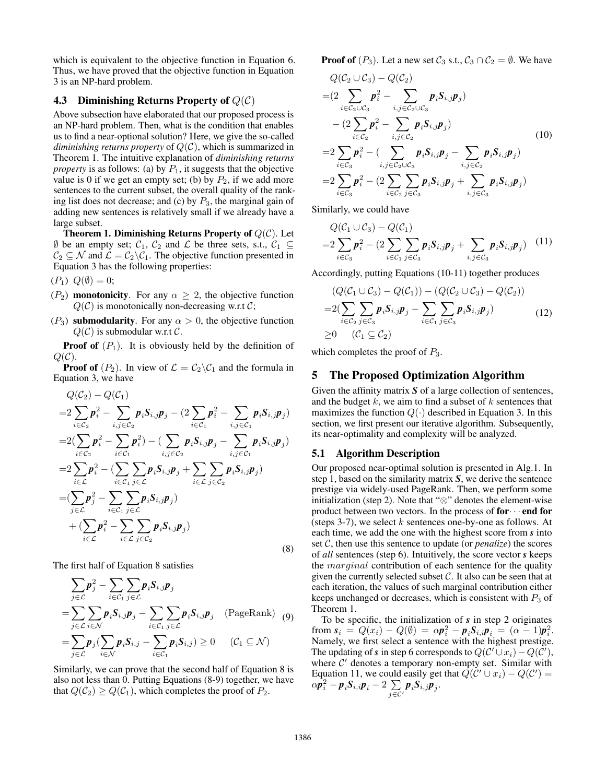which is equivalent to the objective function in Equation 6. Thus, we have proved that the objective function in Equation 3 is an NP-hard problem.

### 4.3 Diminishing Returns Property of  $Q(\mathcal{C})$

Above subsection have elaborated that our proposed process is an NP-hard problem. Then, what is the condition that enables us to find a near-optional solution? Here, we give the so-called *diminishing returns property* of Q(C), which is summarized in Theorem 1. The intuitive explanation of *diminishing returns property* is as follows: (a) by  $P_1$ , it suggests that the objective value is 0 if we get an empty set; (b) by  $P_2$ , if we add more sentences to the current subset, the overall quality of the ranking list does not decrease; and (c) by  $P_3$ , the marginal gain of adding new sentences is relatively small if we already have a large subset.

**Theorem 1. Diminishing Returns Property of**  $Q(\mathcal{C})$ . Let  $\emptyset$  be an empty set;  $C_1$ ,  $C_2$  and  $\mathcal L$  be three sets, s.t.,  $C_1 \subseteq$  $C_2 \subseteq \mathcal{N}$  and  $\mathcal{L} = C_2 \backslash C_1$ . The objective function presented in Equation 3 has the following properties:

 $(P_1) Q(\emptyset) = 0;$ 

- ( $P_2$ ) monotonicity. For any  $\alpha \geq 2$ , the objective function  $Q(\mathcal{C})$  is monotonically non-decreasing w.r.t  $\mathcal{C}$ ;
- ( $P_3$ ) submodularity. For any  $\alpha > 0$ , the objective function  $Q(\mathcal{C})$  is submodular w.r.t  $\mathcal{C}$ .

**Proof of**  $(P_1)$ . It is obviously held by the definition of  $Q(\mathcal{C})$ .

**Proof of**  $(P_2)$ . In view of  $\mathcal{L} = C_2 \backslash C_1$  and the formula in Equation 3, we have

$$
Q(C_2) - Q(C_1)
$$
  
\n
$$
= 2 \sum_{i \in C_2} p_i^2 - \sum_{i,j \in C_2} p_i S_{i,j} p_j - (2 \sum_{i \in C_1} p_i^2 - \sum_{i,j \in C_1} p_i S_{i,j} p_j)
$$
  
\n
$$
= 2(\sum_{i \in C_2} p_i^2 - \sum_{i \in C_1} p_i^2) - (\sum_{i,j \in C_2} p_i S_{i,j} p_j - \sum_{i,j \in C_1} p_i S_{i,j} p_j)
$$
  
\n
$$
= 2 \sum_{i \in C} p_i^2 - (\sum_{i \in C_1} \sum_{j \in C} p_i S_{i,j} p_j + \sum_{i \in C} \sum_{j \in C_2} p_i S_{i,j} p_j)
$$
  
\n
$$
= (\sum_{j \in C} p_j^2 - \sum_{i \in C_1} \sum_{j \in C} p_i S_{i,j} p_j)
$$
  
\n
$$
+ (\sum_{i \in C} p_i^2 - \sum_{i \in C} \sum_{j \in C_2} p_i S_{i,j} p_j)
$$
  
\n(8)

The first half of Equation 8 satisfies

$$
\sum_{j\in\mathcal{L}} \boldsymbol{p}_j^2 - \sum_{i\in\mathcal{C}_1} \sum_{j\in\mathcal{L}} \boldsymbol{p}_i \boldsymbol{S}_{i,j} \boldsymbol{p}_j
$$
\n
$$
= \sum_{j\in\mathcal{L}} \sum_{i\in\mathcal{N}} \boldsymbol{p}_i \boldsymbol{S}_{i,j} \boldsymbol{p}_j - \sum_{i\in\mathcal{C}_1} \sum_{j\in\mathcal{L}} \boldsymbol{p}_i \boldsymbol{S}_{i,j} \boldsymbol{p}_j \quad \text{(PageRank)} \quad (9)
$$
\n
$$
= \sum_{j\in\mathcal{L}} \boldsymbol{p}_j (\sum_{i\in\mathcal{N}} \boldsymbol{p}_i \boldsymbol{S}_{i,j} - \sum_{i\in\mathcal{C}_1} \boldsymbol{p}_i \boldsymbol{S}_{i,j}) \ge 0 \quad \text{(C}_1 \subseteq \mathcal{N})
$$

Similarly, we can prove that the second half of Equation 8 is also not less than 0. Putting Equations (8-9) together, we have that  $Q(\mathcal{C}_2) \geq Q(\mathcal{C}_1)$ , which completes the proof of  $P_2$ .

**Proof of**  $(P_3)$ . Let a new set  $C_3$  s.t.,  $C_3 \cap C_2 = \emptyset$ . We have

$$
Q(C_2 \cup C_3) - Q(C_2)
$$
  
=  $(2 \sum_{i \in C_2 \cup C_3} p_i^2 - \sum_{i,j \in C_2 \cup C_3} p_i S_{i,j} p_j)$   
 $- (2 \sum_{i \in C_2} p_i^2 - \sum_{i,j \in C_2} p_i S_{i,j} p_j)$   
=  $2 \sum_{i \in C_3} p_i^2 - (\sum_{i,j \in C_2 \cup C_3} p_i S_{i,j} p_j - \sum_{i,j \in C_2} p_i S_{i,j} p_j)$   
=  $2 \sum_{i \in C_3} p_i^2 - (2 \sum_{i \in C_2} \sum_{j \in C_3} p_i S_{i,j} p_j + \sum_{i,j \in C_3} p_i S_{i,j} p_j)$  (10)

Similarly, we could have

$$
Q(\mathcal{C}_1 \cup \mathcal{C}_3) - Q(\mathcal{C}_1)
$$
  
=2 $\sum_{i \in \mathcal{C}_3} \mathbf{p}_i^2 - (2 \sum_{i \in \mathcal{C}_1} \sum_{j \in \mathcal{C}_3} \mathbf{p}_i S_{i,j} \mathbf{p}_j + \sum_{i,j \in \mathcal{C}_3} \mathbf{p}_i S_{i,j} \mathbf{p}_j)$  (11)

Accordingly, putting Equations (10-11) together produces

$$
(Q(\mathcal{C}_1 \cup \mathcal{C}_3) - Q(\mathcal{C}_1)) - (Q(\mathcal{C}_2 \cup \mathcal{C}_3) - Q(\mathcal{C}_2))
$$
  
=2(\sum\_{i \in \mathcal{C}\_2} \sum\_{j \in \mathcal{C}\_3} \mathbf{p}\_i \mathbf{S}\_{i,j} \mathbf{p}\_j - \sum\_{i \in \mathcal{C}\_1} \sum\_{j \in \mathcal{C}\_3} \mathbf{p}\_i \mathbf{S}\_{i,j} \mathbf{p}\_j)   
\ge 0 \quad (\mathcal{C}\_1 \subseteq \mathcal{C}\_2) (12)

which completes the proof of  $P_3$ .

# 5 The Proposed Optimization Algorithm

Given the affinity matrix *S* of a large collection of sentences, and the budget  $k$ , we aim to find a subset of  $k$  sentences that maximizes the function  $Q(\cdot)$  described in Equation 3. In this section, we first present our iterative algorithm. Subsequently, its near-optimality and complexity will be analyzed.

# 5.1 Algorithm Description

Our proposed near-optimal solution is presented in Alg.1. In step 1, based on the similarity matrix *S*, we derive the sentence prestige via widely-used PageRank. Then, we perform some initialization (step 2). Note that "⊗" denotes the element-wise product between two vectors. In the process of  $for \cdots$  end for (steps 3-7), we select  $k$  sentences one-by-one as follows. At each time, we add the one with the highest score from *s* into set  $C$ , then use this sentence to update (or *penalize*) the scores of *all* sentences (step 6). Intuitively, the score vector *s* keeps the *marginal* contribution of each sentence for the quality given the currently selected subset  $C$ . It also can be seen that at each iteration, the values of such marginal contribution either keeps unchanged or decreases, which is consistent with  $P_3$  of Theorem 1.

To be specific, the initialization of *s* in step 2 originates from  $s_i = Q(x_i) - Q(\emptyset) = \alpha p_i^2 - p_i S_{i,i} p_i = (\alpha - 1)p_i^2$ . Namely, we first select a sentence with the highest prestige. The updating of *s* in step 6 corresponds to  $Q(C' \cup x_i) - Q(C')$ , where  $C'$  denotes a temporary non-empty set. Similar with Equation 11, we could easily get that  $\hat{Q}(\hat{C}^{\prime} \cup x_i) - Q(\hat{C}^{\prime}) =$  $\alpha \overline{p}_i^2 - p_i S_{i,i} p_i - 2 \sum_i$  $\sum\limits_{j\in \mathcal{C}'}\boldsymbol{p}_i\boldsymbol{S}_{i,j}\boldsymbol{p}_j.$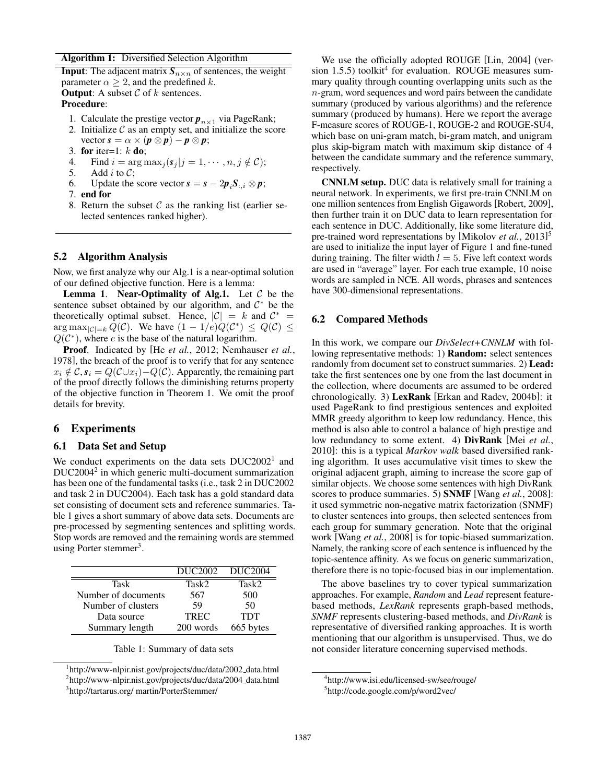#### Algorithm 1: Diversified Selection Algorithm

**Input:** The adjacent matrix  $S_{n \times n}$  of sentences, the weight parameter  $\alpha \geq 2$ , and the predefined k. **Output:** A subset  $C$  of  $k$  sentences.

# Procedure:

- 1. Calculate the prestige vector  $p_{n\times 1}$  via PageRank;
- 2. Initialize  $\mathcal C$  as an empty set, and initialize the score vector  $\mathbf{s} = \alpha \times (\mathbf{p} \otimes \mathbf{p}) - \mathbf{p} \otimes \mathbf{p}$ ;
- 3. for iter=1:  $k$  do;
- 4. Find  $i = \arg \max_j (\mathbf{s}_j | j = 1, \cdots, n, j \notin \mathcal{C})$ ;<br>5. Add *i* to  $\mathcal{C}$ :
- Add  $i$  to  $C$ ;
- 6. Update the score vector  $\mathbf{s} = \mathbf{s} 2\mathbf{p}_i \mathbf{S}_{:,i} \otimes \mathbf{p}$ ;
- 7. end for
- 8. Return the subset  $\mathcal C$  as the ranking list (earlier selected sentences ranked higher).

# 5.2 Algorithm Analysis

Now, we first analyze why our Alg.1 is a near-optimal solution of our defined objective function. Here is a lemma:

**Lemma 1. Near-Optimality of Alg.1.** Let  $C$  be the sentence subset obtained by our algorithm, and  $C^*$  be the theoretically optimal subset. Hence,  $|C| = k$  and  $C^* =$  $\arg \max_{|\mathcal{C}|=k} \hat{Q}(\mathcal{C})$ . We have  $(1-1/e)Q(\mathcal{C}^*) \leq Q(\mathcal{C}) \leq$  $Q(\mathcal{C}^*)$ , where e is the base of the natural logarithm.

Proof. Indicated by [He *et al.*, 2012; Nemhauser *et al.*, 1978], the breach of the proof is to verify that for any sentence  $x_i \notin \mathcal{C}, s_i = Q(\mathcal{C} \cup x_i) - Q(\mathcal{C}).$  Apparently, the remaining part of the proof directly follows the diminishing returns property of the objective function in Theorem 1. We omit the proof details for brevity.

# 6 Experiments

# 6.1 Data Set and Setup

We conduct experiments on the data sets  $DUC2002<sup>1</sup>$  and DUC2004<sup>2</sup> in which generic multi-document summarization has been one of the fundamental tasks (i.e., task 2 in DUC2002 and task 2 in DUC2004). Each task has a gold standard data set consisting of document sets and reference summaries. Table 1 gives a short summary of above data sets. Documents are pre-processed by segmenting sentences and splitting words. Stop words are removed and the remaining words are stemmed using Porter stemmer<sup>3</sup>.

|                     | DUC <sub>2002</sub> | DUC2004    |
|---------------------|---------------------|------------|
| Task                | Task2               | Task2      |
| Number of documents | 567                 | 500        |
| Number of clusters  | 59                  | 50         |
| Data source         | <b>TREC</b>         | <b>TDT</b> |
| Summary length      | 200 words           | 665 bytes  |

|  | Table 1: Summary of data sets |  |  |
|--|-------------------------------|--|--|
|--|-------------------------------|--|--|

<sup>&</sup>lt;sup>1</sup>http://www-nlpir.nist.gov/projects/duc/data/2002\_data.html <sup>2</sup>http://www-nlpir.nist.gov/projects/duc/data/2004\_data.html 3 http://tartarus.org/ martin/PorterStemmer/

We use the officially adopted ROUGE [Lin, 2004] (version 1.5.5) toolkit<sup>4</sup> for evaluation. ROUGE measures summary quality through counting overlapping units such as the n-gram, word sequences and word pairs between the candidate summary (produced by various algorithms) and the reference summary (produced by humans). Here we report the average F-measure scores of ROUGE-1, ROUGE-2 and ROUGE-SU4, which base on uni-gram match, bi-gram match, and unigram plus skip-bigram match with maximum skip distance of 4 between the candidate summary and the reference summary, respectively.

CNNLM setup. DUC data is relatively small for training a neural network. In experiments, we first pre-train CNNLM on one million sentences from English Gigawords [Robert, 2009], then further train it on DUC data to learn representation for each sentence in DUC. Additionally, like some literature did, pre-trained word representations by [Mikolov *et al.*, 2013] 5 are used to initialize the input layer of Figure 1 and fine-tuned during training. The filter width  $l = 5$ . Five left context words are used in "average" layer. For each true example, 10 noise words are sampled in NCE. All words, phrases and sentences have 300-dimensional representations.

### 6.2 Compared Methods

In this work, we compare our *DivSelect+CNNLM* with following representative methods: 1) Random: select sentences randomly from document set to construct summaries. 2) Lead: take the first sentences one by one from the last document in the collection, where documents are assumed to be ordered chronologically. 3) LexRank [Erkan and Radev, 2004b]: it used PageRank to find prestigious sentences and exploited MMR greedy algorithm to keep low redundancy. Hence, this method is also able to control a balance of high prestige and low redundancy to some extent. 4) DivRank [Mei *et al.*, 2010]: this is a typical *Markov walk* based diversified ranking algorithm. It uses accumulative visit times to skew the original adjacent graph, aiming to increase the score gap of similar objects. We choose some sentences with high DivRank scores to produce summaries. 5) SNMF [Wang *et al.*, 2008]: it used symmetric non-negative matrix factorization (SNMF) to cluster sentences into groups, then selected sentences from each group for summary generation. Note that the original work [Wang *et al.*, 2008] is for topic-biased summarization. Namely, the ranking score of each sentence is influenced by the topic-sentence affinity. As we focus on generic summarization, therefore there is no topic-focused bias in our implementation.

The above baselines try to cover typical summarization approaches. For example, *Random* and *Lead* represent featurebased methods, *LexRank* represents graph-based methods, *SNMF* represents clustering-based methods, and *DivRank* is representative of diversified ranking approaches. It is worth mentioning that our algorithm is unsupervised. Thus, we do not consider literature concerning supervised methods.

<sup>4</sup> http://www.isi.edu/licensed-sw/see/rouge/

<sup>5</sup> http://code.google.com/p/word2vec/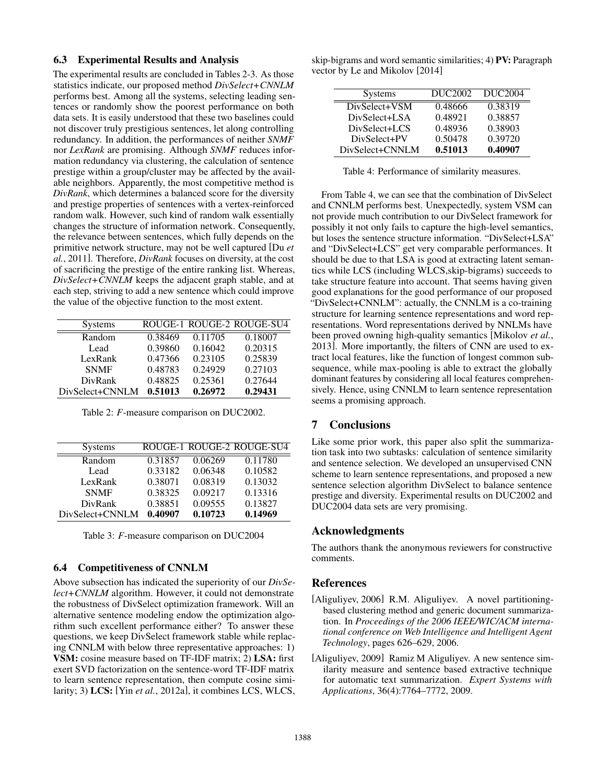# 6.3 Experimental Results and Analysis

The experimental results are concluded in Tables 2-3. As those statistics indicate, our proposed method *DivSelect+CNNLM* performs best. Among all the systems, selecting leading sentences or randomly show the poorest performance on both data sets. It is easily understood that these two baselines could not discover truly prestigious sentences, let along controlling redundancy. In addition, the performances of neither *SNMF* nor *LexRank* are promising. Although *SNMF* reduces information redundancy via clustering, the calculation of sentence prestige within a group/cluster may be affected by the available neighbors. Apparently, the most competitive method is *DivRank*, which determines a balanced score for the diversity and prestige properties of sentences with a vertex-reinforced random walk. However, such kind of random walk essentially changes the structure of information network. Consequently, the relevance between sentences, which fully depends on the primitive network structure, may not be well captured [Du *et al.*, 2011]. Therefore, *DivRank* focuses on diversity, at the cost of sacrificing the prestige of the entire ranking list. Whereas, *DivSelect+CNNLM* keeps the adjacent graph stable, and at each step, striving to add a new sentence which could improve the value of the objective function to the most extent.

| <b>Systems</b>  |         |         | ROUGE-1 ROUGE-2 ROUGE-SU4 |
|-----------------|---------|---------|---------------------------|
| Random          | 0.38469 | 0.11705 | 0.18007                   |
| Lead            | 0.39860 | 0.16042 | 0.20315                   |
| LexRank         | 0.47366 | 0.23105 | 0.25839                   |
| <b>SNMF</b>     | 0.48783 | 0.24929 | 0.27103                   |
| DivRank         | 0.48825 | 0.25361 | 0.27644                   |
| DivSelect+CNNLM | 0.51013 | 0.26972 | 0.29431                   |

Table 2: *F*-measure comparison on DUC2002.

| <b>Systems</b>  |         |         | ROUGE-1 ROUGE-2 ROUGE-SU4 |
|-----------------|---------|---------|---------------------------|
| Random          | 0.31857 | 0.06269 | 0.11780                   |
| Lead            | 0.33182 | 0.06348 | 0.10582                   |
| LexRank         | 0.38071 | 0.08319 | 0.13032                   |
| <b>SNMF</b>     | 0.38325 | 0.09217 | 0.13316                   |
| DivRank         | 0.38851 | 0.09555 | 0.13827                   |
| DivSelect+CNNLM | 0.40907 | 0.10723 | 0.14969                   |

Table 3: *F*-measure comparison on DUC2004

### 6.4 Competitiveness of CNNLM

Above subsection has indicated the superiority of our *DivSelect+CNNLM* algorithm. However, it could not demonstrate the robustness of DivSelect optimization framework. Will an alternative sentence modeling endow the optimization algorithm such excellent performance either? To answer these questions, we keep DivSelect framework stable while replacing CNNLM with below three representative approaches: 1) VSM: cosine measure based on TF-IDF matrix; 2) LSA: first exert SVD factorization on the sentence-word TF-IDF matrix to learn sentence representation, then compute cosine similarity; 3) LCS: [Yin *et al.*, 2012a], it combines LCS, WLCS,

skip-bigrams and word semantic similarities; 4) PV: Paragraph vector by Le and Mikolov [2014]

| <b>Systems</b>  | DUC2002 | DUC <sub>2004</sub> |
|-----------------|---------|---------------------|
| DivSelect+VSM   | 0.48666 | 0.38319             |
| DivSelect+LSA   | 0.48921 | 0.38857             |
| DivSelect+LCS   | 0.48936 | 0.38903             |
| DivSelect+PV    | 0.50478 | 0.39720             |
| DivSelect+CNNLM | 0.51013 | 0.40907             |

Table 4: Performance of similarity measures.

From Table 4, we can see that the combination of DivSelect and CNNLM performs best. Unexpectedly, system VSM can not provide much contribution to our DivSelect framework for possibly it not only fails to capture the high-level semantics, but loses the sentence structure information. "DivSelect+LSA" and "DivSelect+LCS" get very comparable performances. It should be due to that LSA is good at extracting latent semantics while LCS (including WLCS,skip-bigrams) succeeds to take structure feature into account. That seems having given good explanations for the good performance of our proposed "DivSelect+CNNLM": actually, the CNNLM is a co-training structure for learning sentence representations and word representations. Word representations derived by NNLMs have been proved owning high-quality semantics [Mikolov *et al.*, 2013]. More importantly, the filters of CNN are used to extract local features, like the function of longest common subsequence, while max-pooling is able to extract the globally dominant features by considering all local features comprehensively. Hence, using CNNLM to learn sentence representation seems a promising approach.

# 7 Conclusions

Like some prior work, this paper also split the summarization task into two subtasks: calculation of sentence similarity and sentence selection. We developed an unsupervised CNN scheme to learn sentence representations, and proposed a new sentence selection algorithm DivSelect to balance sentence prestige and diversity. Experimental results on DUC2002 and DUC2004 data sets are very promising.

### Acknowledgments

The authors thank the anonymous reviewers for constructive comments.

### References

- [Aliguliyev, 2006] R.M. Aliguliyev. A novel partitioningbased clustering method and generic document summarization. In *Proceedings of the 2006 IEEE/WIC/ACM international conference on Web Intelligence and Intelligent Agent Technology*, pages 626–629, 2006.
- [Aliguliyev, 2009] Ramiz M Aliguliyev. A new sentence similarity measure and sentence based extractive technique for automatic text summarization. *Expert Systems with Applications*, 36(4):7764–7772, 2009.